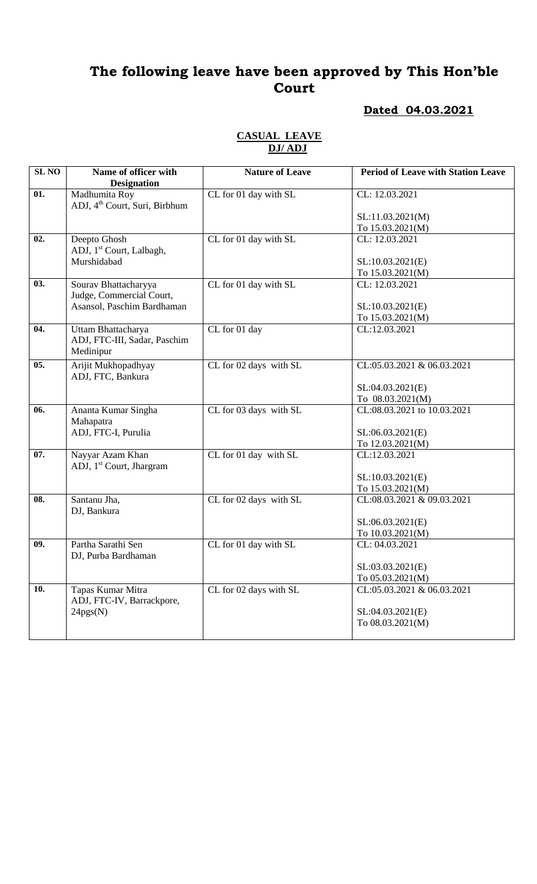# **The following leave have been approved by This Hon'ble Court**

## **Dated 04.03.2021**

| <b>SLNO</b> | Name of officer with<br><b>Designation</b>                      | <b>Nature of Leave</b> | <b>Period of Leave with Station Leave</b> |
|-------------|-----------------------------------------------------------------|------------------------|-------------------------------------------|
| 01.         | Madhumita Roy<br>ADJ, 4 <sup>th</sup> Court, Suri, Birbhum      | CL for 01 day with SL  | CL: 12.03.2021                            |
|             |                                                                 |                        | SL:11.03.2021(M)                          |
|             |                                                                 |                        | To 15.03.2021(M)                          |
| 02.         | Deepto Ghosh<br>ADJ, 1 <sup>st</sup> Court, Lalbagh,            | CL for 01 day with SL  | CL: 12.03.2021                            |
|             | Murshidabad                                                     |                        | SL:10.03.2021(E)                          |
|             |                                                                 |                        | To 15.03.2021(M)                          |
| 03.         | Sourav Bhattacharyya<br>Judge, Commercial Court,                | CL for 01 day with SL  | CL: 12.03.2021                            |
|             | Asansol, Paschim Bardhaman                                      |                        | SL:10.03.2021(E)                          |
|             |                                                                 |                        | To 15.03.2021(M)                          |
| 04.         | Uttam Bhattacharya<br>ADJ, FTC-III, Sadar, Paschim<br>Medinipur | CL for 01 day          | CL:12.03.2021                             |
| 05.         | Arijit Mukhopadhyay<br>ADJ, FTC, Bankura                        | CL for 02 days with SL | CL:05.03.2021 & 06.03.2021                |
|             |                                                                 |                        | SL:04.03.2021(E)                          |
|             |                                                                 |                        | To 08.03.2021(M)                          |
| 06.         | Ananta Kumar Singha<br>Mahapatra                                | CL for 03 days with SL | CL:08.03.2021 to 10.03.2021               |
|             | ADJ, FTC-I, Purulia                                             |                        | SL:06.03.2021(E)                          |
|             |                                                                 |                        | To 12.03.2021(M)                          |
| 07.         | Nayyar Azam Khan<br>ADJ, 1 <sup>st</sup> Court, Jhargram        | CL for 01 day with SL  | CL:12.03.2021                             |
|             |                                                                 |                        | SL:10.03.2021(E)                          |
|             |                                                                 |                        | To 15.03.2021(M)                          |
| 08.         | Santanu Jha,<br>DJ, Bankura                                     | CL for 02 days with SL | CL:08.03.2021 & 09.03.2021                |
|             |                                                                 |                        | SL:06.03.2021(E)                          |
|             |                                                                 |                        | To 10.03.2021(M)                          |
| 09.         | Partha Sarathi Sen<br>DJ, Purba Bardhaman                       | CL for 01 day with SL  | CL: 04.03.2021                            |
|             |                                                                 |                        | SL: 03.03.2021(E)                         |
|             |                                                                 |                        | To 05.03.2021(M)                          |
| 10.         | Tapas Kumar Mitra<br>ADJ, FTC-IV, Barrackpore,                  | CL for 02 days with SL | CL:05.03.2021 & 06.03.2021                |
|             | 24pgs(N)                                                        |                        | SL:04.03.2021(E)                          |
|             |                                                                 |                        | To 08.03.2021(M)                          |

#### **CASUAL LEAVE DJ/ ADJ**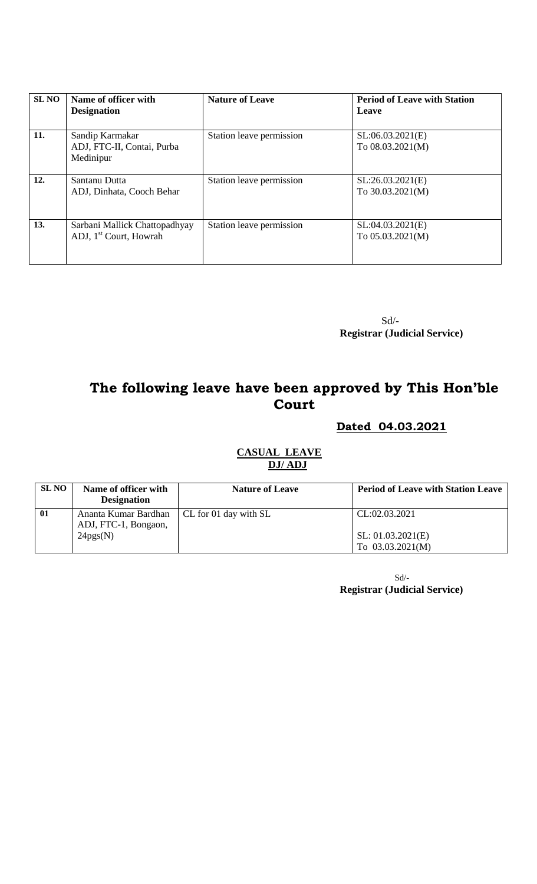| <b>SL NO</b> | Name of officer with<br><b>Designation</b>                          | <b>Nature of Leave</b>   | <b>Period of Leave with Station</b><br>Leave |
|--------------|---------------------------------------------------------------------|--------------------------|----------------------------------------------|
| 11.          | Sandip Karmakar<br>ADJ, FTC-II, Contai, Purba<br>Medinipur          | Station leave permission | SL:06.03.2021(E)<br>To 08.03.2021(M)         |
| 12.          | Santanu Dutta<br>ADJ, Dinhata, Cooch Behar                          | Station leave permission | SL:26.03.2021(E)<br>To $30.03.2021(M)$       |
| 13.          | Sarbani Mallick Chattopadhyay<br>ADJ, 1 <sup>st</sup> Court, Howrah | Station leave permission | SL:04.03.2021(E)<br>To $05.03.2021(M)$       |

 Sd/- **Registrar (Judicial Service)**

# **The following leave have been approved by This Hon'ble Court**

#### **Dated 04.03.2021**

| <b>SL NO</b> | Name of officer with<br><b>Designation</b>               | <b>Nature of Leave</b> | <b>Period of Leave with Station Leave</b>                |
|--------------|----------------------------------------------------------|------------------------|----------------------------------------------------------|
| 01           | Ananta Kumar Bardhan<br>ADJ, FTC-1, Bongaon,<br>24pgs(N) | CL for 01 day with SL  | CL:02.03.2021<br>SL: 01.03.2021(E)<br>To $03.03.2021(M)$ |

#### **CASUAL LEAVE DJ/ ADJ**

Sd/- **Registrar (Judicial Service)**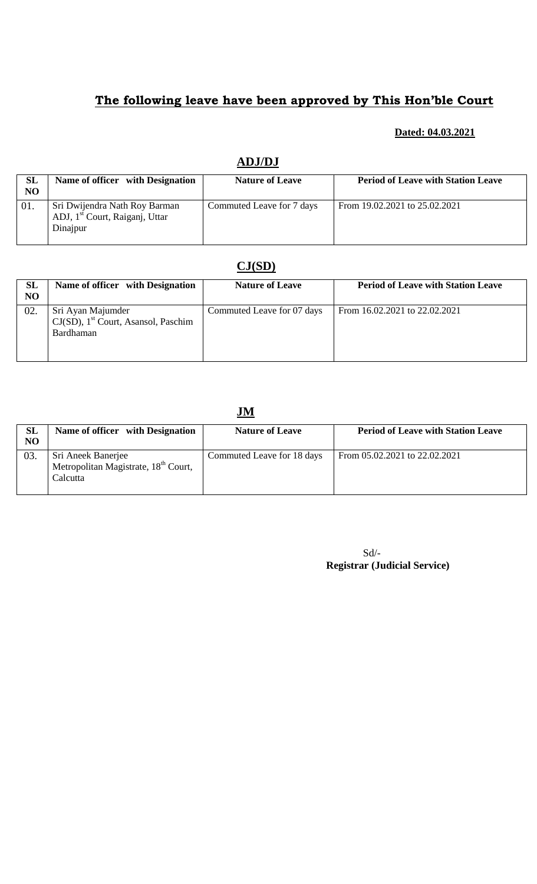# **The following leave have been approved by This Hon'ble Court**

#### **Dated: 04.03.2021**

|          | ******                                                                                  |                           |                                           |  |  |
|----------|-----------------------------------------------------------------------------------------|---------------------------|-------------------------------------------|--|--|
| SL<br>NO | Name of officer with Designation                                                        | <b>Nature of Leave</b>    | <b>Period of Leave with Station Leave</b> |  |  |
| 01.      | Sri Dwijendra Nath Roy Barman<br>ADJ, 1 <sup>st</sup> Court, Raiganj, Uttar<br>Dinajpur | Commuted Leave for 7 days | From 19.02.2021 to 25.02.2021             |  |  |

### **ADJ/DJ**

## **CJ(SD)**

| SL  | Name of officer with Designation                                                     | <b>Nature of Leave</b>     | <b>Period of Leave with Station Leave</b> |
|-----|--------------------------------------------------------------------------------------|----------------------------|-------------------------------------------|
| NO  |                                                                                      |                            |                                           |
| 02. | Sri Ayan Majumder<br>$CJ(SD)$ , 1 <sup>st</sup> Court, Asansol, Paschim<br>Bardhaman | Commuted Leave for 07 days | From 16.02.2021 to 22.02.2021             |

## **JM**

| SL<br>NO. | Name of officer with Designation                                                   | <b>Nature of Leave</b>     | <b>Period of Leave with Station Leave</b> |
|-----------|------------------------------------------------------------------------------------|----------------------------|-------------------------------------------|
| 03.       | Sri Aneek Banerjee<br>Metropolitan Magistrate, 18 <sup>th</sup> Court,<br>Calcutta | Commuted Leave for 18 days | From 05.02.2021 to 22.02.2021             |

Sd/-  **Registrar (Judicial Service)**